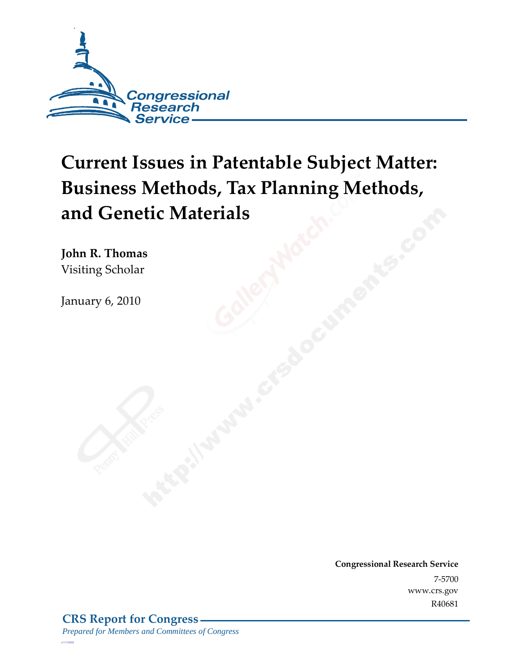

# **Current Issues in Patentable Subject Matter: Business Methods, Tax Planning Methods, and Genetic Materials**

**John R. Thomas**  Visiting Scholar

January 6, 2010

**Congressional Research Service** 7-5700 www.crs.gov R40681

*c11173008*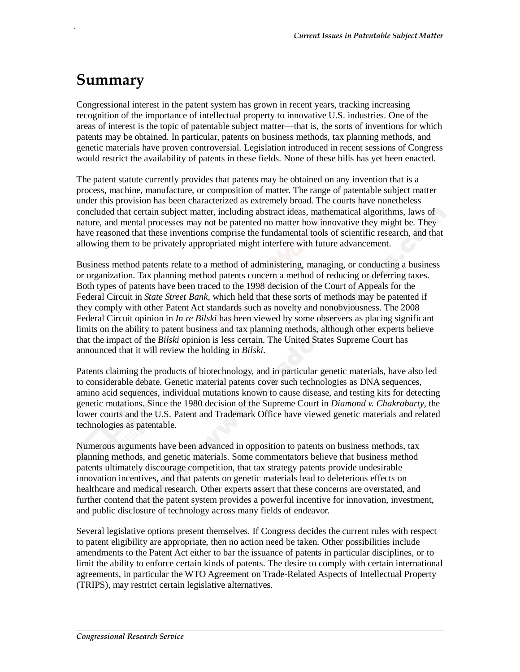## **Summary**

.

Congressional interest in the patent system has grown in recent years, tracking increasing recognition of the importance of intellectual property to innovative U.S. industries. One of the areas of interest is the topic of patentable subject matter—that is, the sorts of inventions for which patents may be obtained. In particular, patents on business methods, tax planning methods, and genetic materials have proven controversial. Legislation introduced in recent sessions of Congress would restrict the availability of patents in these fields. None of these bills has yet been enacted.

The patent statute currently provides that patents may be obtained on any invention that is a process, machine, manufacture, or composition of matter. The range of patentable subject matter under this provision has been characterized as extremely broad. The courts have nonetheless concluded that certain subject matter, including abstract ideas, mathematical algorithms, laws of nature, and mental processes may not be patented no matter how innovative they might be. They have reasoned that these inventions comprise the fundamental tools of scientific research, and that allowing them to be privately appropriated might interfere with future advancement.

Business method patents relate to a method of administering, managing, or conducting a business or organization. Tax planning method patents concern a method of reducing or deferring taxes. Both types of patents have been traced to the 1998 decision of the Court of Appeals for the Federal Circuit in *State Street Bank*, which held that these sorts of methods may be patented if they comply with other Patent Act standards such as novelty and nonobviousness. The 2008 Federal Circuit opinion in *In re Bilski* has been viewed by some observers as placing significant limits on the ability to patent business and tax planning methods, although other experts believe that the impact of the *Bilski* opinion is less certain. The United States Supreme Court has announced that it will review the holding in *Bilski*.

Patents claiming the products of biotechnology, and in particular genetic materials, have also led to considerable debate. Genetic material patents cover such technologies as DNA sequences, amino acid sequences, individual mutations known to cause disease, and testing kits for detecting genetic mutations. Since the 1980 decision of the Supreme Court in *Diamond v. Chakrabarty*, the lower courts and the U.S. Patent and Trademark Office have viewed genetic materials and related technologies as patentable.

Numerous arguments have been advanced in opposition to patents on business methods, tax planning methods, and genetic materials. Some commentators believe that business method patents ultimately discourage competition, that tax strategy patents provide undesirable innovation incentives, and that patents on genetic materials lead to deleterious effects on healthcare and medical research. Other experts assert that these concerns are overstated, and further contend that the patent system provides a powerful incentive for innovation, investment, and public disclosure of technology across many fields of endeavor.

Several legislative options present themselves. If Congress decides the current rules with respect to patent eligibility are appropriate, then no action need be taken. Other possibilities include amendments to the Patent Act either to bar the issuance of patents in particular disciplines, or to limit the ability to enforce certain kinds of patents. The desire to comply with certain international agreements, in particular the WTO Agreement on Trade-Related Aspects of Intellectual Property (TRIPS), may restrict certain legislative alternatives.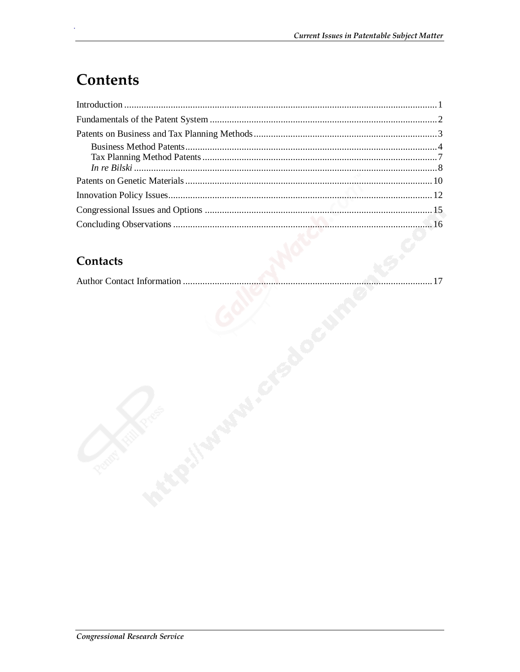## **Contents**

#### Contacts

|--|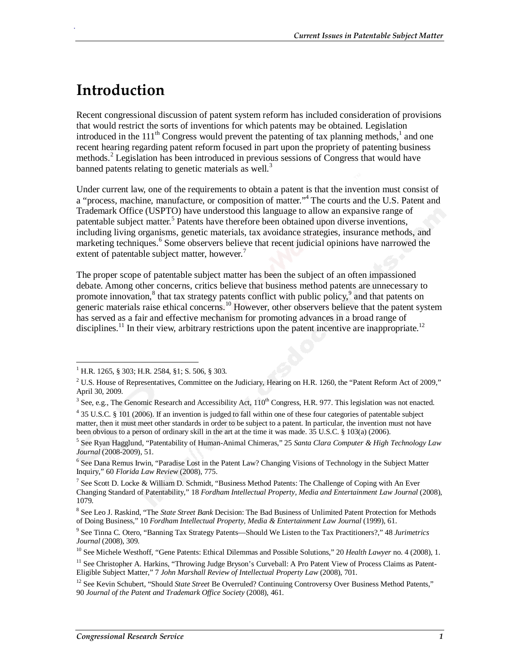## **Introduction**

.

Recent congressional discussion of patent system reform has included consideration of provisions that would restrict the sorts of inventions for which patents may be obtained. Legislation introduced in the  $111<sup>th</sup>$  Congress would prevent the patenting of tax planning methods,<sup>1</sup> and one recent hearing regarding patent reform focused in part upon the propriety of patenting business methods.<sup>2</sup> Legislation has been introduced in previous sessions of Congress that would have banned patents relating to genetic materials as well. $3$ 

Under current law, one of the requirements to obtain a patent is that the invention must consist of a "process, machine, manufacture, or composition of matter."<sup>4</sup> The courts and the U.S. Patent and Trademark Office (USPTO) have understood this language to allow an expansive range of patentable subject matter.<sup>5</sup> Patents have therefore been obtained upon diverse inventions, including living organisms, genetic materials, tax avoidance strategies, insurance methods, and marketing techniques.<sup>6</sup> Some observers believe that recent judicial opinions have narrowed the extent of patentable subject matter, however.<sup>7</sup>

The proper scope of patentable subject matter has been the subject of an often impassioned debate. Among other concerns, critics believe that business method patents are unnecessary to promote innovation,<sup>8</sup> that tax strategy patents conflict with public policy,<sup>9</sup> and that patents on generic materials raise ethical concerns.<sup>10</sup> However, other observers believe that the patent system has served as a fair and effective mechanism for promoting advances in a broad range of disciplines.<sup>11</sup> In their view, arbitrary restrictions upon the patent incentive are inappropriate.<sup>12</sup>

-

<sup>1</sup> H.R. 1265, § 303; H.R. 2584, §1; S. 506, § 303.

<sup>&</sup>lt;sup>2</sup> U.S. House of Representatives, Committee on the Judiciary, Hearing on H.R. 1260, the "Patent Reform Act of 2009," April 30, 2009.

 $3$  See, e.g., The Genomic Research and Accessibility Act,  $110^{th}$  Congress, H.R. 977. This legislation was not enacted.

<sup>&</sup>lt;sup>4</sup> 35 U.S.C. § 101 (2006). If an invention is judged to fall within one of these four categories of patentable subject matter, then it must meet other standards in order to be subject to a patent. In particular, the invention must not have been obvious to a person of ordinary skill in the art at the time it was made.  $35$  U.S.C. § 103(a) (2006).

<sup>5</sup> See Ryan Hagglund, "Patentability of Human-Animal Chimeras," 25 *Santa Clara Computer & High Technology Law Journal* (2008-2009), 51.

<sup>&</sup>lt;sup>6</sup> See Dana Remus Irwin, "Paradise Lost in the Patent Law? Changing Visions of Technology in the Subject Matter Inquiry," 60 *Florida Law Review* (2008), 775.

<sup>&</sup>lt;sup>7</sup> See Scott D. Locke & William D. Schmidt, "Business Method Patents: The Challenge of Coping with An Ever Changing Standard of Patentability," 18 *Fordham Intellectual Property, Media and Entertainment Law Journal* (2008), 1079.

<sup>8</sup> See Leo J. Raskind, "The *State Street Bank* Decision: The Bad Business of Unlimited Patent Protection for Methods of Doing Business," 10 *Fordham Intellectual Property, Media & Entertainment Law Journal* (1999), 61.

<sup>9</sup> See Tinna C. Otero, "Banning Tax Strategy Patents—Should We Listen to the Tax Practitioners?," 48 *Jurimetrics Journal* (2008), 309.

<sup>&</sup>lt;sup>10</sup> See Michele Westhoff, "Gene Patents: Ethical Dilemmas and Possible Solutions," 20 *Health Lawyer* no. 4 (2008), 1.

<sup>&</sup>lt;sup>11</sup> See Christopher A. Harkins, "Throwing Judge Bryson's Curveball: A Pro Patent View of Process Claims as Patent-Eligible Subject Matter," 7 *John Marshall Review of Intellectual Property Law* (2008), 701.

<sup>&</sup>lt;sup>12</sup> See Kevin Schubert, "Should *State Street* Be Overruled? Continuing Controversy Over Business Method Patents," 90 *Journal of the Patent and Trademark Office Society* (2008), 461.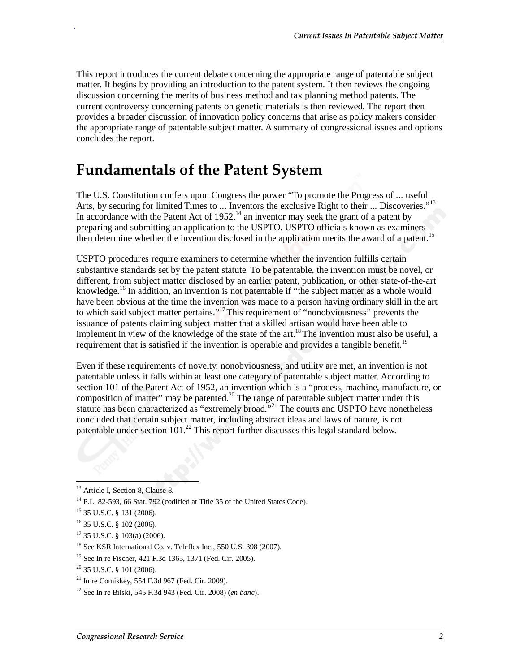This report introduces the current debate concerning the appropriate range of patentable subject matter. It begins by providing an introduction to the patent system. It then reviews the ongoing discussion concerning the merits of business method and tax planning method patents. The current controversy concerning patents on genetic materials is then reviewed. The report then provides a broader discussion of innovation policy concerns that arise as policy makers consider the appropriate range of patentable subject matter. A summary of congressional issues and options concludes the report.

## **Fundamentals of the Patent System**

The U.S. Constitution confers upon Congress the power "To promote the Progress of ... useful Arts, by securing for limited Times to ... Inventors the exclusive Right to their ... Discoveries."<sup>13</sup> In accordance with the Patent Act of 1952,  $14$  an inventor may seek the grant of a patent by preparing and submitting an application to the USPTO. USPTO officials known as examiners then determine whether the invention disclosed in the application merits the award of a patent.<sup>15</sup>

USPTO procedures require examiners to determine whether the invention fulfills certain substantive standards set by the patent statute. To be patentable, the invention must be novel, or different, from subject matter disclosed by an earlier patent, publication, or other state-of-the-art knowledge.<sup>16</sup> In addition, an invention is not patentable if "the subject matter as a whole would have been obvious at the time the invention was made to a person having ordinary skill in the art to which said subject matter pertains."<sup>17</sup> This requirement of "nonobviousness" prevents the issuance of patents claiming subject matter that a skilled artisan would have been able to implement in view of the knowledge of the state of the art.<sup>18</sup> The invention must also be useful, a requirement that is satisfied if the invention is operable and provides a tangible benefit.<sup>19</sup>

Even if these requirements of novelty, nonobviousness, and utility are met, an invention is not patentable unless it falls within at least one category of patentable subject matter. According to section 101 of the Patent Act of 1952, an invention which is a "process, machine, manufacture, or composition of matter" may be patented.<sup>20</sup> The range of patentable subject matter under this statute has been characterized as "extremely broad."21 The courts and USPTO have nonetheless concluded that certain subject matter, including abstract ideas and laws of nature, is not patentable under section  $101<sup>22</sup>$  This report further discusses this legal standard below.

.

 $17$  35 U.S.C. § 103(a) (2006).

<sup>-</sup><sup>13</sup> Article I, Section 8, Clause 8.

 $14$  P.L. 82-593, 66 Stat. 792 (codified at Title 35 of the United States Code).

<sup>15 35</sup> U.S.C. § 131 (2006).

<sup>16 35</sup> U.S.C. § 102 (2006).

<sup>18</sup> See KSR International Co. v. Teleflex Inc., 550 U.S. 398 (2007).

<sup>19</sup> See In re Fischer, 421 F.3d 1365, 1371 (Fed. Cir. 2005).

 $20$  35 U.S.C. § 101 (2006).

<sup>21</sup> In re Comiskey, 554 F.3d 967 (Fed. Cir. 2009).

<sup>22</sup> See In re Bilski, 545 F.3d 943 (Fed. Cir. 2008) (*en banc*).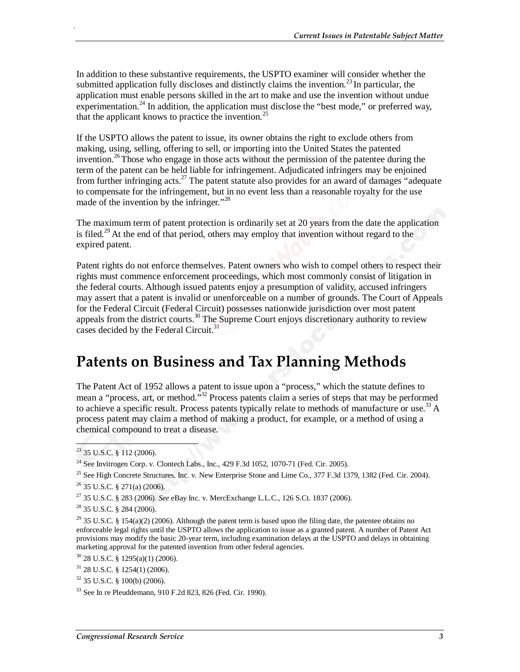In addition to these substantive requirements, the USPTO examiner will consider whether the submitted application fully discloses and distinctly claims the invention.<sup>23</sup> In particular, the application must enable persons skilled in the art to make and use the invention without undue experimentation.<sup>24</sup> In addition, the application must disclose the "best mode," or preferred way, that the applicant knows to practice the invention.<sup>25</sup>

If the USPTO allows the patent to issue, its owner obtains the right to exclude others from making, using, selling, offering to sell, or importing into the United States the patented invention.<sup>26</sup> Those who engage in those acts without the permission of the patentee during the term of the patent can be held liable for infringement. Adjudicated infringers may be enjoined from further infringing acts.<sup>27</sup> The patent statute also provides for an award of damages "adequate" to compensate for the infringement, but in no event less than a reasonable royalty for the use made of the invention by the infringer."<sup>28</sup>

The maximum term of patent protection is ordinarily set at 20 years from the date the application is filed.<sup>29</sup> At the end of that period, others may employ that invention without regard to the expired patent.

Patent rights do not enforce themselves. Patent owners who wish to compel others to respect their rights must commence enforcement proceedings, which most commonly consist of litigation in the federal courts. Although issued patents enjoy a presumption of validity, accused infringers may assert that a patent is invalid or unenforceable on a number of grounds. The Court of Appeals for the Federal Circuit (Federal Circuit) possesses nationwide jurisdiction over most patent appeals from the district courts.<sup>30</sup> The Supreme Court enjoys discretionary authority to review cases decided by the Federal Circuit.<sup>3</sup>

## **Patents on Business and Tax Planning Methods**

The Patent Act of 1952 allows a patent to issue upon a "process," which the statute defines to mean a "process, art, or method."<sup>32</sup> Process patents claim a series of steps that may be performed to achieve a specific result. Process patents typically relate to methods of manufacture or use.<sup>33</sup> A process patent may claim a method of making a product, for example, or a method of using a chemical compound to treat a disease.

 $\overline{\phantom{a}}$ 

 $^{23}$  35 U.S.C. § 112 (2006).

<sup>&</sup>lt;sup>24</sup> See Invitrogen Corp. v. Clontech Labs., Inc.,  $429$  F.3d 1052, 1070-71 (Fed. Cir. 2005).

<sup>&</sup>lt;sup>25</sup> See High Concrete Structures, Inc. v. New Enterprise Stone and Lime Co.,  $377$  F.3d 1379, 1382 (Fed. Cir. 2004).  $26$  35 U.S.C. § 271(a) (2006).

<sup>27 35</sup> U.S.C. § 283 (2006). *See* eBay Inc. v. MercExchange L.L.C., 126 S.Ct. 1837 (2006).

 $^{28}$  35 U.S.C. § 284 (2006).

<sup>&</sup>lt;sup>29</sup> 35 U.S.C. § 154(a)(2) (2006). Although the patent term is based upon the filing date, the patentee obtains no enforceable legal rights until the USPTO allows the application to issue as a granted patent. A number of Patent Act provisions may modify the basic 20-year term, including examination delays at the USPTO and delays in obtaining marketing approval for the patented invention from other federal agencies.

 $30$  28 U.S.C. § 1295(a)(1) (2006).

 $31$  28 U.S.C. § 1254(1) (2006).

 $32$  35 U.S.C. § 100(b) (2006).

<sup>33</sup> See In re Pleuddemann, 910 F.2d 823, 826 (Fed. Cir. 1990).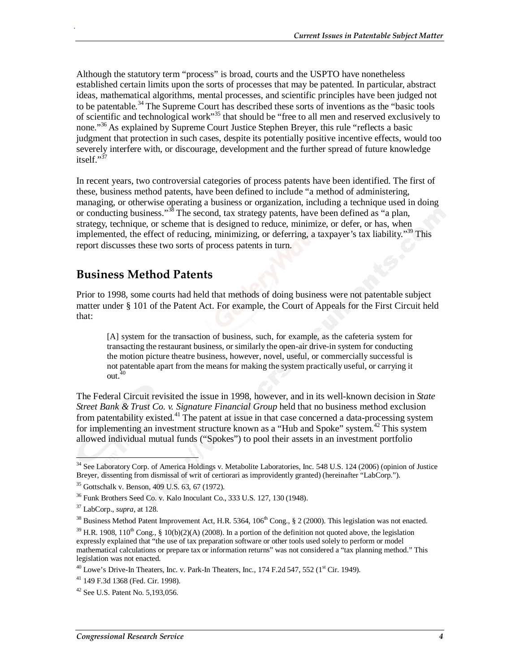Although the statutory term "process" is broad, courts and the USPTO have nonetheless established certain limits upon the sorts of processes that may be patented. In particular, abstract ideas, mathematical algorithms, mental processes, and scientific principles have been judged not to be patentable.<sup>34</sup> The Supreme Court has described these sorts of inventions as the "basic tools" of scientific and technological work"<sup>35</sup> that should be "free to all men and reserved exclusively to none.<sup>35</sup> As explained by Supreme Court Justice Stephen Brever, this rule "reflects a basic judgment that protection in such cases, despite its potentially positive incentive effects, would too severely interfere with, or discourage, development and the further spread of future knowledge itself<sup>"37</sup>

In recent years, two controversial categories of process patents have been identified. The first of these, business method patents, have been defined to include "a method of administering, managing, or otherwise operating a business or organization, including a technique used in doing or conducting business."38 The second, tax strategy patents, have been defined as "a plan, strategy, technique, or scheme that is designed to reduce, minimize, or defer, or has, when implemented, the effect of reducing, minimizing, or deferring, a taxpayer's tax liability."<sup>39</sup> This report discusses these two sorts of process patents in turn.

#### **Business Method Patents**

Prior to 1998, some courts had held that methods of doing business were not patentable subject matter under § 101 of the Patent Act. For example, the Court of Appeals for the First Circuit held that:

[A] system for the transaction of business, such, for example, as the cafeteria system for transacting the restaurant business, or similarly the open-air drive-in system for conducting the motion picture theatre business, however, novel, useful, or commercially successful is not patentable apart from the means for making the system practically useful, or carrying it out.<sup>40</sup>

The Federal Circuit revisited the issue in 1998, however, and in its well-known decision in *State Street Bank & Trust Co. v. Signature Financial Group* held that no business method exclusion from patentability existed.<sup>41</sup> The patent at issue in that case concerned a data-processing system for implementing an investment structure known as a "Hub and Spoke" system.<sup>42</sup> This system allowed individual mutual funds ("Spokes") to pool their assets in an investment portfolio

-

<sup>&</sup>lt;sup>34</sup> See Laboratory Corp. of America Holdings v. Metabolite Laboratories, Inc. 548 U.S. 124 (2006) (opinion of Justice Breyer, dissenting from dismissal of writ of certiorari as improvidently granted) (hereinafter "LabCorp.").

<sup>35</sup> Gottschalk v. Benson, 409 U.S. 63, 67 (1972).

<sup>36</sup> Funk Brothers Seed Co. v. Kalo Inoculant Co., 333 U.S. 127, 130 (1948).

<sup>37</sup> LabCorp., *supra*, at 128.

<sup>&</sup>lt;sup>38</sup> Business Method Patent Improvement Act, H.R. 5364, 106<sup>th</sup> Cong., § 2 (2000). This legislation was not enacted.

 $39$  H.R. 1908, 110<sup>th</sup> Cong., § 10(b)(2)(A) (2008). In a portion of the definition not quoted above, the legislation expressly explained that "the use of tax preparation software or other tools used solely to perform or model mathematical calculations or prepare tax or information returns" was not considered a "tax planning method." This legislation was not enacted.

 $^{40}$  Lowe's Drive-In Theaters, Inc. v. Park-In Theaters, Inc., 174 F.2d 547, 552 ( $1<sup>st</sup>$  Cir. 1949).

 $41$  149 F.3d 1368 (Fed. Cir. 1998).

<sup>42</sup> See U.S. Patent No. 5,193,056.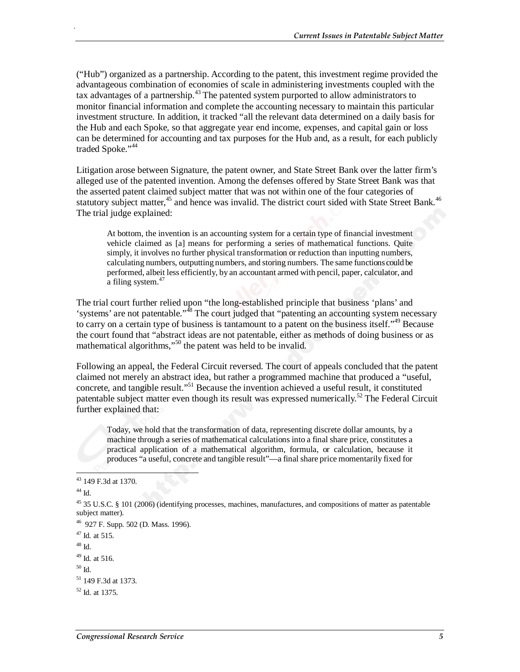("Hub") organized as a partnership. According to the patent, this investment regime provided the advantageous combination of economies of scale in administering investments coupled with the tax advantages of a partnership.<sup>43</sup> The patented system purported to allow administrators to monitor financial information and complete the accounting necessary to maintain this particular investment structure. In addition, it tracked "all the relevant data determined on a daily basis for the Hub and each Spoke, so that aggregate year end income, expenses, and capital gain or loss can be determined for accounting and tax purposes for the Hub and, as a result, for each publicly traded Spoke."<sup>44</sup>

Litigation arose between Signature, the patent owner, and State Street Bank over the latter firm's alleged use of the patented invention. Among the defenses offered by State Street Bank was that the asserted patent claimed subject matter that was not within one of the four categories of statutory subject matter,<sup>45</sup> and hence was invalid. The district court sided with State Street Bank.<sup>46</sup> The trial judge explained:

At bottom, the invention is an accounting system for a certain type of financial investment vehicle claimed as [a] means for performing a series of mathematical functions. Quite simply, it involves no further physical transformation or reduction than inputting numbers, calculating numbers, outputting numbers, and storing numbers. The same functions could be performed, albeit less efficiently, by an accountant armed with pencil, paper, calculator, and a filing system.<sup>47</sup>

The trial court further relied upon "the long-established principle that business 'plans' and 'systems' are not patentable."48 The court judged that "patenting an accounting system necessary to carry on a certain type of business is tantamount to a patent on the business itself."49 Because the court found that "abstract ideas are not patentable, either as methods of doing business or as mathematical algorithms,"50 the patent was held to be invalid.

Following an appeal, the Federal Circuit reversed. The court of appeals concluded that the patent claimed not merely an abstract idea, but rather a programmed machine that produced a "useful, concrete, and tangible result."51 Because the invention achieved a useful result, it constituted patentable subject matter even though its result was expressed numerically.<sup>52</sup> The Federal Circuit further explained that:

Today, we hold that the transformation of data, representing discrete dollar amounts, by a machine through a series of mathematical calculations into a final share price, constitutes a practical application of a mathematical algorithm, formula, or calculation, because it produces "a useful, concrete and tangible result"—a final share price momentarily fixed for

- 
- 49 Id*.* at 516.

<sup>-</sup>43 149 F.3d at 1370.

 $44$  Id.

<sup>&</sup>lt;sup>45</sup> 35 U.S.C. § 101 (2006) (identifying processes, machines, manufactures, and compositions of matter as patentable subject matter).

<sup>46 927</sup> F. Supp. 502 (D. Mass. 1996).

<sup>47</sup> Id*.* at 515. 48 Id.

 $50$  Id.

<sup>&</sup>lt;sup>51</sup> 149 F.3d at 1373.

 $52$  Id. at 1375.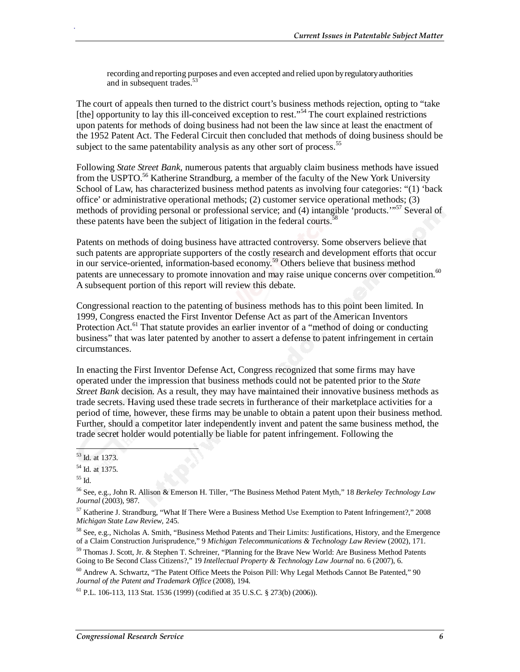recording and reporting purposes and even accepted and relied upon by regulatory authorities and in subsequent trades.<sup>53</sup>

The court of appeals then turned to the district court's business methods rejection, opting to "take [the] opportunity to lay this ill-conceived exception to rest."<sup>54</sup> The court explained restrictions upon patents for methods of doing business had not been the law since at least the enactment of the 1952 Patent Act. The Federal Circuit then concluded that methods of doing business should be subject to the same patentability analysis as any other sort of process.<sup>55</sup>

Following *State Street Bank,* numerous patents that arguably claim business methods have issued from the USPTO.<sup>56</sup> Katherine Strandburg, a member of the faculty of the New York University School of Law, has characterized business method patents as involving four categories: "(1) 'back office' or administrative operational methods; (2) customer service operational methods; (3) methods of providing personal or professional service; and (4) intangible 'products."<sup>57</sup> Several of these patents have been the subject of litigation in the federal courts.<sup>58</sup>

Patents on methods of doing business have attracted controversy. Some observers believe that such patents are appropriate supporters of the costly research and development efforts that occur in our service-oriented, information-based economy.<sup>59</sup> Others believe that business method patents are unnecessary to promote innovation and may raise unique concerns over competition.<sup>60</sup> A subsequent portion of this report will review this debate.

Congressional reaction to the patenting of business methods has to this point been limited. In 1999, Congress enacted the First Inventor Defense Act as part of the American Inventors Protection Act.<sup>61</sup> That statute provides an earlier inventor of a "method of doing or conducting business" that was later patented by another to assert a defense to patent infringement in certain circumstances.

In enacting the First Inventor Defense Act, Congress recognized that some firms may have operated under the impression that business methods could not be patented prior to the *State Street Bank* decision. As a result, they may have maintained their innovative business methods as trade secrets. Having used these trade secrets in furtherance of their marketplace activities for a period of time, however, these firms may be unable to obtain a patent upon their business method. Further, should a competitor later independently invent and patent the same business method, the trade secret holder would potentially be liable for patent infringement. Following the

 $\overline{1}$ 53 Id. at 1373.

<sup>54</sup> Id. at 1375.

<sup>55</sup> Id.

<sup>56</sup> See, e.g., John R. Allison & Emerson H. Tiller, "The Business Method Patent Myth," 18 *Berkeley Technology Law Journal* (2003), 987.

<sup>57</sup> Katherine J. Strandburg, "What If There Were a Business Method Use Exemption to Patent Infringement?," 2008 *Michigan State Law Review*, 245.

<sup>58</sup> See, e.g., Nicholas A. Smith, "Business Method Patents and Their Limits: Justifications, History, and the Emergence of a Claim Construction Jurisprudence," 9 *Michigan Telecommunications & Technology Law Review* (2002), 171.

<sup>59</sup> Thomas J. Scott, Jr. & Stephen T. Schreiner, "Planning for the Brave New World: Are Business Method Patents Going to Be Second Class Citizens?," 19 *Intellectual Property & Technology Law Journal* no. 6 (2007), 6.

<sup>60</sup> Andrew A. Schwartz, "The Patent Office Meets the Poison Pill: Why Legal Methods Cannot Be Patented," 90 *Journal of the Patent and Trademark Office* (2008), 194.

 $61$  P.L. 106-113, 113 Stat. 1536 (1999) (codified at 35 U.S.C. § 273(b) (2006)).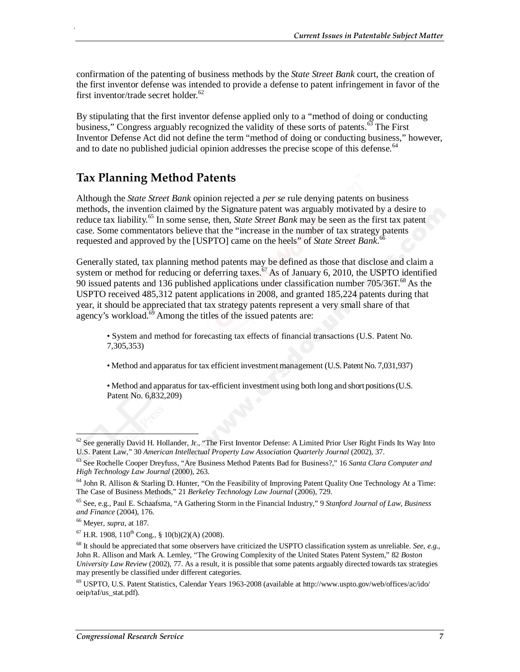confirmation of the patenting of business methods by the *State Street Bank* court, the creation of the first inventor defense was intended to provide a defense to patent infringement in favor of the first inventor/trade secret holder. $62$ 

By stipulating that the first inventor defense applied only to a "method of doing or conducting business," Congress arguably recognized the validity of these sorts of patents.<sup>63</sup> The First Inventor Defense Act did not define the term "method of doing or conducting business," however, and to date no published judicial opinion addresses the precise scope of this defense.  $64$ 

#### **Tax Planning Method Patents**

Although the *State Street Bank* opinion rejected a *per se* rule denying patents on business methods, the invention claimed by the Signature patent was arguably motivated by a desire to reduce tax liability.<sup>65</sup> In some sense, then, *State Street Bank* may be seen as the first tax patent case. Some commentators believe that the "increase in the number of tax strategy patents requested and approved by the [USPTO] came on the heels" of *State Street Bank*. 66

Generally stated, tax planning method patents may be defined as those that disclose and claim a system or method for reducing or deferring taxes.<sup>67</sup> As of January 6, 2010, the USPTO identified 90 issued patents and 136 published applications under classification number  $705/36T$ .<sup>68</sup> As the USPTO received 485,312 patent applications in 2008, and granted 185,224 patents during that year, it should be appreciated that tax strategy patents represent a very small share of that agency's workload. $\overline{69}$  Among the titles of the issued patents are:

• System and method for forecasting tax effects of financial transactions (U.S. Patent No. 7,305,353)

• Method and apparatus for tax efficient investment management (U.S. Patent No. 7,031,937)

• Method and apparatus for tax-efficient investment using both long and short positions (U.S. Patent No. 6,832,209)

-

 $62$  See generally David H. Hollander, Jr., "The First Inventor Defense: A Limited Prior User Right Finds Its Way Into U.S. Patent Law," 30 *American Intellectual Property Law Association Quarterly Journal* (2002), 37.

<sup>63</sup> See Rochelle Cooper Dreyfuss, "Are Business Method Patents Bad for Business?," 16 *Santa Clara Computer and High Technology Law Journal* (2000), 263.

 $64$  John R. Allison & Starling D. Hunter, "On the Feasibility of Improving Patent Quality One Technology At a Time: The Case of Business Methods," 21 *Berkeley Technology Law Journal* (2006), 729.

<sup>65</sup> See, e.g., Paul E. Schaafsma, "A Gathering Storm in the Financial Industry," 9 *Stanford Journal of Law, Business and Finance* (2004), 176.

<sup>66</sup> Meyer, *supra*, at 187.

 $^{67}$  H.R. 1908, 110<sup>th</sup> Cong., § 10(b)(2)(A) (2008).

<sup>68</sup> It should be appreciated that some observers have criticized the USPTO classification system as unreliable. *See, e.g.,* John R. Allison and Mark A. Lemley, "The Growing Complexity of the United States Patent System," 82 *Boston University Law Review* (2002), 77. As a result, it is possible that some patents arguably directed towards tax strategies may presently be classified under different categories.

<sup>69</sup> USPTO, U.S. Patent Statistics, Calendar Years 1963-2008 (available at http://www.uspto.gov/web/offices/ac/ido/ oeip/taf/us\_stat.pdf).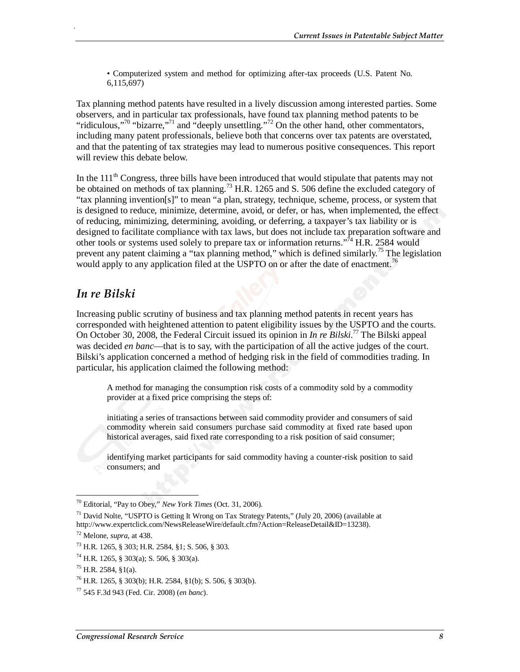• Computerized system and method for optimizing after-tax proceeds (U.S. Patent No. 6,115,697)

Tax planning method patents have resulted in a lively discussion among interested parties. Some observers, and in particular tax professionals, have found tax planning method patents to be "ridiculous,"<sup>70</sup> "bizarre,"<sup>71</sup> and "deeply unsettling."<sup>72</sup> On the other hand, other commentators, including many patent professionals, believe both that concerns over tax patents are overstated, and that the patenting of tax strategies may lead to numerous positive consequences. This report will review this debate below.

In the  $111<sup>th</sup>$  Congress, three bills have been introduced that would stipulate that patents may not be obtained on methods of tax planning.<sup>73</sup> H.R. 1265 and S. 506 define the excluded category of "tax planning invention[s]" to mean "a plan, strategy, technique, scheme, process, or system that is designed to reduce, minimize, determine, avoid, or defer, or has, when implemented, the effect of reducing, minimizing, determining, avoiding, or deferring, a taxpayer's tax liability or is designed to facilitate compliance with tax laws, but does not include tax preparation software and other tools or systems used solely to prepare tax or information returns."<sup>74</sup> H.R. 2584 would prevent any patent claiming a "tax planning method," which is defined similarly.<sup>75</sup> The legislation would apply to any application filed at the USPTO on or after the date of enactment.<sup>76</sup>

#### *In re Bilski*

.

Increasing public scrutiny of business and tax planning method patents in recent years has corresponded with heightened attention to patent eligibility issues by the USPTO and the courts. On October 30, 2008, the Federal Circuit issued its opinion in *In re Bilski*.<sup>77</sup> The Bilski appeal was decided *en banc*—that is to say, with the participation of all the active judges of the court. Bilski's application concerned a method of hedging risk in the field of commodities trading. In particular, his application claimed the following method:

A method for managing the consumption risk costs of a commodity sold by a commodity provider at a fixed price comprising the steps of:

initiating a series of transactions between said commodity provider and consumers of said commodity wherein said consumers purchase said commodity at fixed rate based upon historical averages, said fixed rate corresponding to a risk position of said consumer;

identifying market participants for said commodity having a counter-risk position to said consumers; and

<sup>-</sup>70 Editorial, "Pay to Obey," *New York Times* (Oct. 31, 2006).

<sup>71</sup> David Nolte, "USPTO is Getting It Wrong on Tax Strategy Patents," (July 20, 2006) (available at http://www.expertclick.com/NewsReleaseWire/default.cfm?Action=ReleaseDetail&ID=13238).

<sup>72</sup> Melone, *supra*, at 438. 73 H.R. 1265, § 303; H.R. 2584, §1; S. 506, § 303.

 $^{74}$  H.R. 1265, § 303(a); S. 506, § 303(a).

 $^{75}$  H.R. 2584, §1(a).

 $^{76}$  H.R. 1265, § 303(b); H.R. 2584, §1(b); S. 506, § 303(b).

<sup>77 545</sup> F.3d 943 (Fed. Cir. 2008) (*en banc*).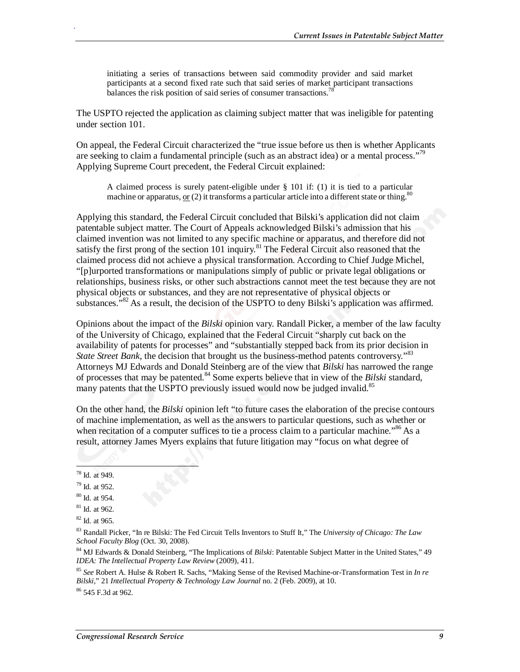initiating a series of transactions between said commodity provider and said market participants at a second fixed rate such that said series of market participant transactions balances the risk position of said series of consumer transactions.<sup>78</sup>

The USPTO rejected the application as claiming subject matter that was ineligible for patenting under section 101.

On appeal, the Federal Circuit characterized the "true issue before us then is whether Applicants are seeking to claim a fundamental principle (such as an abstract idea) or a mental process."<sup>79</sup> Applying Supreme Court precedent, the Federal Circuit explained:

A claimed process is surely patent-eligible under § 101 if: (1) it is tied to a particular machine or apparatus,  $or (2)$  it transforms a particular article into a different state or thing.<sup>80</sup></u>

Applying this standard, the Federal Circuit concluded that Bilski's application did not claim patentable subject matter. The Court of Appeals acknowledged Bilski's admission that his claimed invention was not limited to any specific machine or apparatus, and therefore did not satisfy the first prong of the section 101 inquiry.<sup>81</sup> The Federal Circuit also reasoned that the claimed process did not achieve a physical transformation. According to Chief Judge Michel, "[p]urported transformations or manipulations simply of public or private legal obligations or relationships, business risks, or other such abstractions cannot meet the test because they are not physical objects or substances, and they are not representative of physical objects or substances.<sup>"82</sup> As a result, the decision of the USPTO to deny Bilski's application was affirmed.

Opinions about the impact of the *Bilski* opinion vary. Randall Picker, a member of the law faculty of the University of Chicago, explained that the Federal Circuit "sharply cut back on the availability of patents for processes" and "substantially stepped back from its prior decision in *State Street Bank*, the decision that brought us the business-method patents controversy."<sup>83</sup> Attorneys MJ Edwards and Donald Steinberg are of the view that *Bilski* has narrowed the range of processes that may be patented.84 Some experts believe that in view of the *Bilski* standard, many patents that the USPTO previously issued would now be judged invalid.<sup>85</sup>

On the other hand, the *Bilski* opinion left "to future cases the elaboration of the precise contours of machine implementation, as well as the answers to particular questions, such as whether or when recitation of a computer suffices to tie a process claim to a particular machine.<sup>86</sup> As a result, attorney James Myers explains that future litigation may "focus on what degree of

<u>.</u>

.

84 MJ Edwards & Donald Steinberg, "The Implications of *Bilski*: Patentable Subject Matter in the United States," 49 *IDEA: The Intellectual Property Law Review* (2009), 411.

<sup>85</sup> *See* Robert A. Hulse & Robert R. Sachs, "Making Sense of the Revised Machine-or-Transformation Test in *In re Bilski*," 21 *Intellectual Property & Technology Law Journal* no. 2 (Feb. 2009), at 10.

86 545 F.3d at 962.

<sup>78</sup> Id. at 949.

<sup>79</sup> Id. at 952.

<sup>80</sup> Id. at 954.

 $81$  Id. at 962.

 $82$  Id. at 965.

<sup>83</sup> Randall Picker, "In re Bilski: The Fed Circuit Tells Inventors to Stuff It," The *University of Chicago: The Law School Faculty Blog* (Oct. 30, 2008).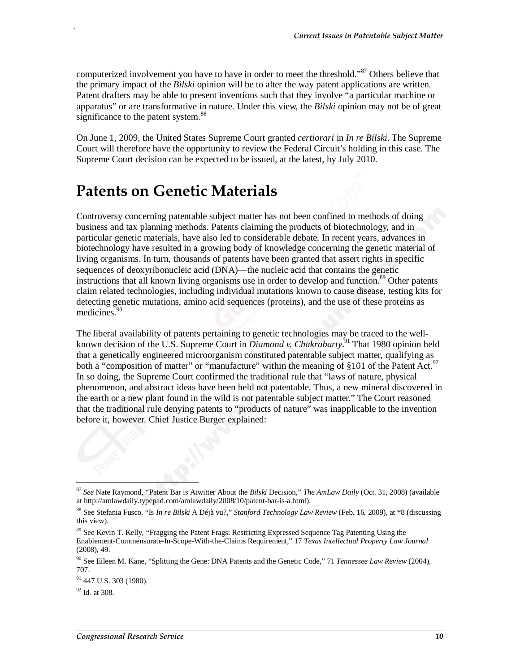computerized involvement you have to have in order to meet the threshold."<sup>87</sup> Others believe that the primary impact of the *Bilski* opinion will be to alter the way patent applications are written. Patent drafters may be able to present inventions such that they involve "a particular machine or apparatus" or are transformative in nature. Under this view, the *Bilski* opinion may not be of great significance to the patent system.<sup>88</sup>

On June 1, 2009, the United States Supreme Court granted *certiorari* in *In re Bilski*. The Supreme Court will therefore have the opportunity to review the Federal Circuit's holding in this case. The Supreme Court decision can be expected to be issued, at the latest, by July 2010.

## **Patents on Genetic Materials**

Controversy concerning patentable subject matter has not been confined to methods of doing business and tax planning methods. Patents claiming the products of biotechnology, and in particular genetic materials, have also led to considerable debate. In recent years, advances in biotechnology have resulted in a growing body of knowledge concerning the genetic material of living organisms. In turn, thousands of patents have been granted that assert rights in specific sequences of deoxyribonucleic acid (DNA)—the nucleic acid that contains the genetic instructions that all known living organisms use in order to develop and function.<sup>89</sup> Other patents claim related technologies, including individual mutations known to cause disease, testing kits for detecting genetic mutations, amino acid sequences (proteins), and the use of these proteins as medicines.<sup>90</sup>

The liberal availability of patents pertaining to genetic technologies may be traced to the wellknown decision of the U.S. Supreme Court in *Diamond v. Chakrabarty*. 91 That 1980 opinion held that a genetically engineered microorganism constituted patentable subject matter, qualifying as both a "composition of matter" or "manufacture" within the meaning of §101 of the Patent Act.<sup>92</sup> In so doing, the Supreme Court confirmed the traditional rule that "laws of nature, physical phenomenon, and abstract ideas have been held not patentable. Thus, a new mineral discovered in the earth or a new plant found in the wild is not patentable subject matter." The Court reasoned that the traditional rule denying patents to "products of nature" was inapplicable to the invention before it, however. Chief Justice Burger explained:

<sup>-</sup><sup>87</sup> *See* Nate Raymond, "Patent Bar is Atwitter About the *Bilski* Decision," *The AmLaw Daily* (Oct. 31, 2008) (available at http://amlawdaily.typepad.com/amlawdaily/2008/10/patent-bar-is-a.html).

<sup>88</sup> See Stefania Fusco, "Is *In re Bilski* A Déjà vu?," *Stanford Technology Law Review* (Feb. 16, 2009), at \*8 (discussing this view).

<sup>&</sup>lt;sup>89</sup> See Kevin T. Kelly, "Fragging the Patent Frags: Restricting Expressed Sequence Tag Patenting Using the Enablement-Commensurate-In-Scope-With-the-Claims Requirement," 17 *Texas Intellectual Property Law Journal* (2008), 49.

<sup>90</sup> See Eileen M. Kane, "Splitting the Gene: DNA Patents and the Genetic Code," 71 *Tennessee Law Review* (2004), 707.

 $91$  447 U.S. 303 (1980).

<sup>92</sup> Id*.* at 308.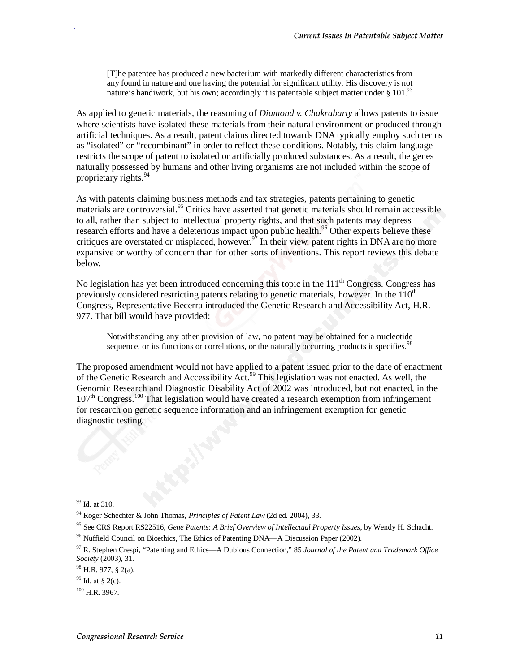[T]he patentee has produced a new bacterium with markedly different characteristics from any found in nature and one having the potential for significant utility. His discovery is not nature's handiwork, but his own; accordingly it is patentable subject matter under  $\S 101$ .<sup>93</sup>

As applied to genetic materials, the reasoning of *Diamond v. Chakrabarty* allows patents to issue where scientists have isolated these materials from their natural environment or produced through artificial techniques. As a result, patent claims directed towards DNA typically employ such terms as "isolated" or "recombinant" in order to reflect these conditions. Notably, this claim language restricts the scope of patent to isolated or artificially produced substances. As a result, the genes naturally possessed by humans and other living organisms are not included within the scope of proprietary rights. $94$ 

As with patents claiming business methods and tax strategies, patents pertaining to genetic materials are controversial.<sup>95</sup> Critics have asserted that genetic materials should remain accessible to all, rather than subject to intellectual property rights, and that such patents may depress research efforts and have a deleterious impact upon public health.<sup>96</sup> Other experts believe these critiques are overstated or misplaced, however.<sup>97</sup> In their view, patent rights in DNA are no more expansive or worthy of concern than for other sorts of inventions. This report reviews this debate below.

No legislation has yet been introduced concerning this topic in the  $111<sup>th</sup>$  Congress. Congress has previously considered restricting patents relating to genetic materials, however. In the  $110<sup>th</sup>$ Congress, Representative Becerra introduced the Genetic Research and Accessibility Act, H.R. 977. That bill would have provided:

Notwithstanding any other provision of law, no patent may be obtained for a nucleotide sequence, or its functions or correlations, or the naturally occurring products it specifies.<sup>98</sup>

The proposed amendment would not have applied to a patent issued prior to the date of enactment of the Genetic Research and Accessibility Act.99 This legislation was not enacted. As well, the Genomic Research and Diagnostic Disability Act of 2002 was introduced, but not enacted, in the  $107<sup>th</sup>$  Congress.<sup>100</sup> That legislation would have created a research exemption from infringement for research on genetic sequence information and an infringement exemption for genetic diagnostic testing.

<sup>-</sup>93 Id*.* at 310.

<sup>94</sup> Roger Schechter & John Thomas, *Principles of Patent Law* (2d ed. 2004), 33.

<sup>&</sup>lt;sup>95</sup> See CRS Report RS22516, *Gene Patents: A Brief Overview of Intellectual Property Issues*, by Wendy H. Schacht. <sup>96</sup> Nuffield Council on Bioethics, The Ethics of Patenting DNA—A Discussion Paper (2002).

<sup>97</sup> R. Stephen Crespi, "Patenting and Ethics—A Dubious Connection," 85 *Journal of the Patent and Trademark Office Society* (2003), 31.

<sup>98</sup> H.R. 977, § 2(a).

<sup>99</sup> Id*.* at § 2(c).

 $100$  H.R. 3967.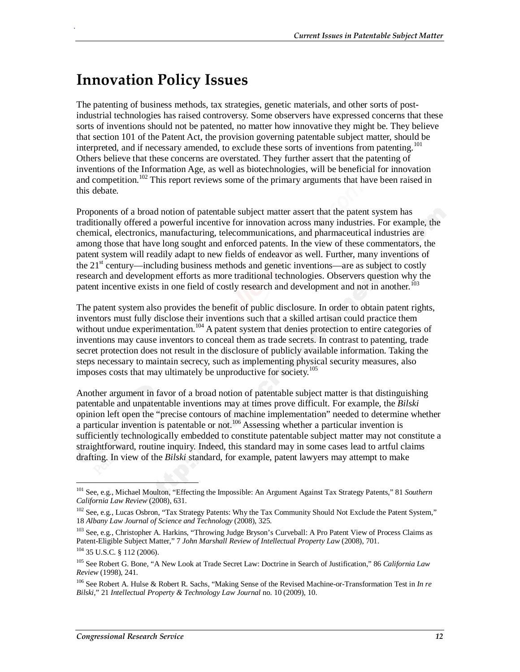## **Innovation Policy Issues**

.

The patenting of business methods, tax strategies, genetic materials, and other sorts of postindustrial technologies has raised controversy. Some observers have expressed concerns that these sorts of inventions should not be patented, no matter how innovative they might be. They believe that section 101 of the Patent Act, the provision governing patentable subject matter, should be interpreted, and if necessary amended, to exclude these sorts of inventions from patenting.<sup>101</sup> Others believe that these concerns are overstated. They further assert that the patenting of inventions of the Information Age, as well as biotechnologies, will be beneficial for innovation and competition.<sup>102</sup> This report reviews some of the primary arguments that have been raised in this debate.

Proponents of a broad notion of patentable subject matter assert that the patent system has traditionally offered a powerful incentive for innovation across many industries. For example, the chemical, electronics, manufacturing, telecommunications, and pharmaceutical industries are among those that have long sought and enforced patents. In the view of these commentators, the patent system will readily adapt to new fields of endeavor as well. Further, many inventions of the  $21<sup>st</sup>$  century—including business methods and genetic inventions—are as subject to costly research and development efforts as more traditional technologies. Observers question why the patent incentive exists in one field of costly research and development and not in another.<sup>103</sup>

The patent system also provides the benefit of public disclosure. In order to obtain patent rights, inventors must fully disclose their inventions such that a skilled artisan could practice them without undue experimentation.<sup>104</sup> A patent system that denies protection to entire categories of inventions may cause inventors to conceal them as trade secrets. In contrast to patenting, trade secret protection does not result in the disclosure of publicly available information. Taking the steps necessary to maintain secrecy, such as implementing physical security measures, also imposes costs that may ultimately be unproductive for society.<sup>105</sup>

Another argument in favor of a broad notion of patentable subject matter is that distinguishing patentable and unpatentable inventions may at times prove difficult. For example, the *Bilski* opinion left open the "precise contours of machine implementation" needed to determine whether a particular invention is patentable or not.<sup>106</sup> Assessing whether a particular invention is sufficiently technologically embedded to constitute patentable subject matter may not constitute a straightforward, routine inquiry. Indeed, this standard may in some cases lead to artful claims drafting. In view of the *Bilski* standard, for example, patent lawyers may attempt to make

<sup>-</sup>101 See, e.g., Michael Moulton, "Effecting the Impossible: An Argument Against Tax Strategy Patents," 81 *Southern California Law Review* (2008), 631.

<sup>&</sup>lt;sup>102</sup> See, e.g., Lucas Osbron, "Tax Strategy Patents: Why the Tax Community Should Not Exclude the Patent System," 18 *Albany Law Journal of Science and Technology* (2008), 325.

<sup>&</sup>lt;sup>103</sup> See, e.g., Christopher A. Harkins, "Throwing Judge Bryson's Curveball: A Pro Patent View of Process Claims as Patent-Eligible Subject Matter," 7 *John Marshall Review of Intellectual Property Law* (2008), 701.

<sup>104 35</sup> U.S.C. § 112 (2006).

<sup>105</sup> See Robert G. Bone, "A New Look at Trade Secret Law: Doctrine in Search of Justification," 86 *California Law Review* (1998), 241.

<sup>106</sup> See Robert A. Hulse & Robert R. Sachs, "Making Sense of the Revised Machine-or-Transformation Test in *In re Bilski*," 21 *Intellectual Property & Technology Law Journal* no. 10 (2009), 10.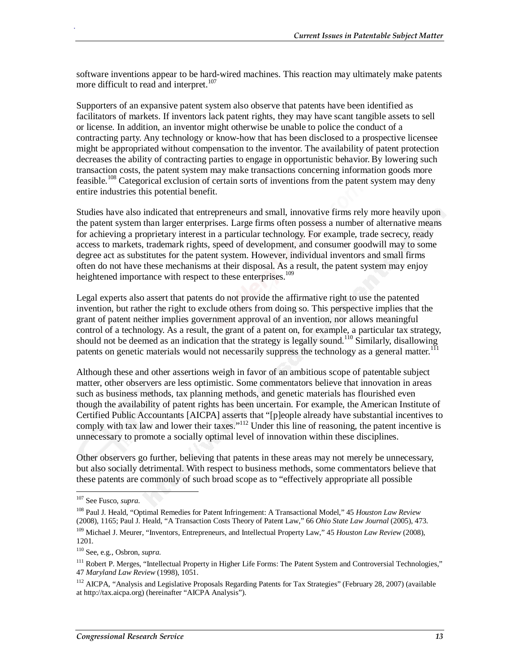software inventions appear to be hard-wired machines. This reaction may ultimately make patents more difficult to read and interpret.<sup>107</sup>

Supporters of an expansive patent system also observe that patents have been identified as facilitators of markets. If inventors lack patent rights, they may have scant tangible assets to sell or license. In addition, an inventor might otherwise be unable to police the conduct of a contracting party. Any technology or know-how that has been disclosed to a prospective licensee might be appropriated without compensation to the inventor. The availability of patent protection decreases the ability of contracting parties to engage in opportunistic behavior.By lowering such transaction costs, the patent system may make transactions concerning information goods more feasible.<sup>108</sup> Categorical exclusion of certain sorts of inventions from the patent system may deny entire industries this potential benefit.

Studies have also indicated that entrepreneurs and small, innovative firms rely more heavily upon the patent system than larger enterprises. Large firms often possess a number of alternative means for achieving a proprietary interest in a particular technology. For example, trade secrecy, ready access to markets, trademark rights, speed of development, and consumer goodwill may to some degree act as substitutes for the patent system. However, individual inventors and small firms often do not have these mechanisms at their disposal. As a result, the patent system may enjoy heightened importance with respect to these enterprises.<sup>109</sup>

Legal experts also assert that patents do not provide the affirmative right to use the patented invention, but rather the right to exclude others from doing so. This perspective implies that the grant of patent neither implies government approval of an invention, nor allows meaningful control of a technology. As a result, the grant of a patent on, for example, a particular tax strategy, should not be deemed as an indication that the strategy is legally sound.<sup>110</sup> Similarly, disallowing patents on genetic materials would not necessarily suppress the technology as a general matter.<sup>111</sup>

Although these and other assertions weigh in favor of an ambitious scope of patentable subject matter, other observers are less optimistic. Some commentators believe that innovation in areas such as business methods, tax planning methods, and genetic materials has flourished even though the availability of patent rights has been uncertain. For example, the American Institute of Certified Public Accountants [AICPA] asserts that "[p]eople already have substantial incentives to comply with tax law and lower their taxes."<sup>112</sup> Under this line of reasoning, the patent incentive is unnecessary to promote a socially optimal level of innovation within these disciplines.

Other observers go further, believing that patents in these areas may not merely be unnecessary, but also socially detrimental. With respect to business methods, some commentators believe that these patents are commonly of such broad scope as to "effectively appropriate all possible

-

<sup>107</sup> See Fusco, *supra*.

<sup>108</sup> Paul J. Heald, "Optimal Remedies for Patent Infringement: A Transactional Model," 45 *Houston Law Review* (2008), 1165; Paul J. Heald, "A Transaction Costs Theory of Patent Law," 66 *Ohio State Law Journal* (2005), 473.

<sup>109</sup> Michael J. Meurer, "Inventors, Entrepreneurs, and Intellectual Property Law," 45 *Houston Law Review* (2008), 1201.

<sup>110</sup> See, e.g., Osbron, *supra*.

<sup>&</sup>lt;sup>111</sup> Robert P. Merges, "Intellectual Property in Higher Life Forms: The Patent System and Controversial Technologies," 47 *Maryland Law Review* (1998), 1051.

<sup>&</sup>lt;sup>112</sup> AICPA, "Analysis and Legislative Proposals Regarding Patents for Tax Strategies" (February 28, 2007) (available at http://tax.aicpa.org) (hereinafter "AICPA Analysis").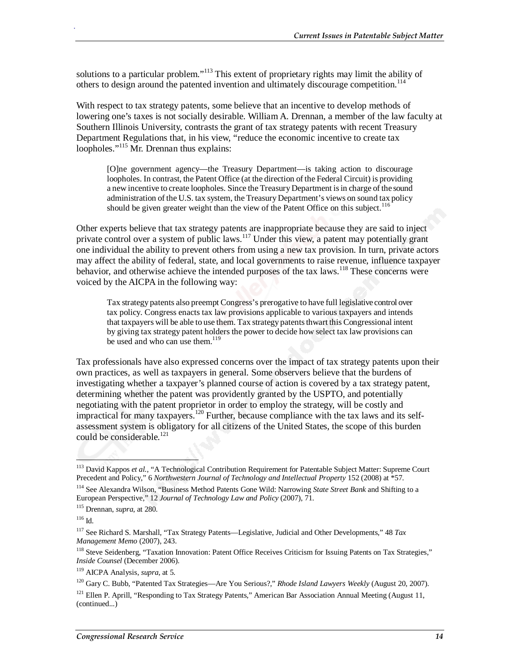solutions to a particular problem."<sup>113</sup> This extent of proprietary rights may limit the ability of others to design around the patented invention and ultimately discourage competition.<sup>114</sup>

With respect to tax strategy patents, some believe that an incentive to develop methods of lowering one's taxes is not socially desirable. William A. Drennan, a member of the law faculty at Southern Illinois University, contrasts the grant of tax strategy patents with recent Treasury Department Regulations that, in his view, "reduce the economic incentive to create tax loopholes."<sup>115</sup> Mr. Drennan thus explains:

[O]ne government agency—the Treasury Department—is taking action to discourage loopholes. In contrast, the Patent Office (at the direction of the Federal Circuit) is providing a new incentive to create loopholes. Since the Treasury Department is in charge of the sound administration of the U.S. tax system, the Treasury Department's views on sound tax policy should be given greater weight than the view of the Patent Office on this subject.<sup>116</sup>

Other experts believe that tax strategy patents are inappropriate because they are said to inject private control over a system of public laws.<sup>117</sup> Under this view, a patent may potentially grant one individual the ability to prevent others from using a new tax provision. In turn, private actors may affect the ability of federal, state, and local governments to raise revenue, influence taxpayer behavior, and otherwise achieve the intended purposes of the tax laws.<sup>118</sup> These concerns were voiced by the AICPA in the following way:

Tax strategy patents also preempt Congress's prerogative to have full legislative control over tax policy. Congress enacts tax law provisions applicable to various taxpayers and intends that taxpayers will be able to use them. Tax strategy patents thwart this Congressional intent by giving tax strategy patent holders the power to decide how select tax law provisions can be used and who can use them.<sup>119</sup>

Tax professionals have also expressed concerns over the impact of tax strategy patents upon their own practices, as well as taxpayers in general. Some observers believe that the burdens of investigating whether a taxpayer's planned course of action is covered by a tax strategy patent, determining whether the patent was providently granted by the USPTO, and potentially negotiating with the patent proprietor in order to employ the strategy, will be costly and impractical for many taxpayers.120 Further, because compliance with the tax laws and its selfassessment system is obligatory for all citizens of the United States, the scope of this burden could be considerable.<sup>121</sup>

 $\overline{a}$ 

<sup>&</sup>lt;sup>113</sup> David Kappos et al., "A Technological Contribution Requirement for Patentable Subject Matter: Supreme Court Precedent and Policy," 6 *Northwestern Journal of Technology and Intellectual Property* 152 (2008) at <sup>\*</sup>57.

<sup>114</sup> See Alexandra Wilson, "Business Method Patents Gone Wild: Narrowing *State Street Bank* and Shifting to a European Perspective," 12 *Journal of Technology Law and Policy* (2007), 71.

<sup>115</sup> Drennan, *supra*, at 280.

<sup>116</sup> Id.

<sup>117</sup> See Richard S. Marshall, "Tax Strategy Patents—Legislative, Judicial and Other Developments," 48 *Tax Management Memo* (2007), 243.

<sup>&</sup>lt;sup>118</sup> Steve Seidenberg, "Taxation Innovation: Patent Office Receives Criticism for Issuing Patents on Tax Strategies," *Inside Counsel* (December 2006).

<sup>119</sup> AICPA Analysis, *supra*, at 5.

<sup>120</sup> Gary C. Bubb, "Patented Tax Strategies—Are You Serious?," *Rhode Island Lawyers Weekly* (August 20, 2007).

 $121$  Ellen P. Aprill, "Responding to Tax Strategy Patents," American Bar Association Annual Meeting (August 11, (continued...)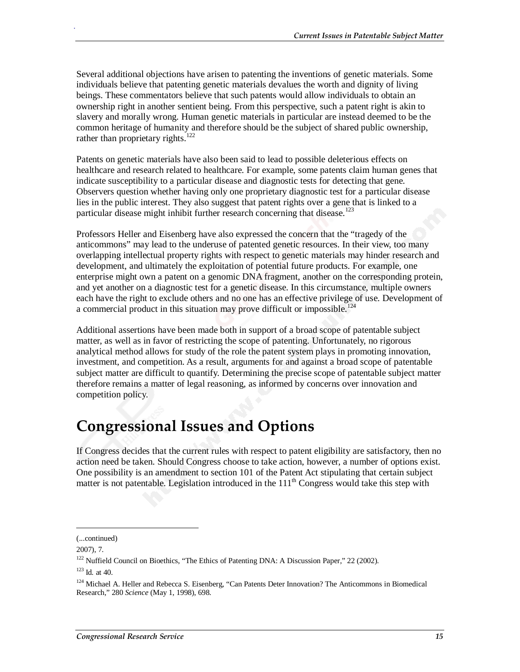Several additional objections have arisen to patenting the inventions of genetic materials. Some individuals believe that patenting genetic materials devalues the worth and dignity of living beings. These commentators believe that such patents would allow individuals to obtain an ownership right in another sentient being. From this perspective, such a patent right is akin to slavery and morally wrong. Human genetic materials in particular are instead deemed to be the common heritage of humanity and therefore should be the subject of shared public ownership, rather than proprietary rights.<sup>122</sup>

Patents on genetic materials have also been said to lead to possible deleterious effects on healthcare and research related to healthcare. For example, some patents claim human genes that indicate susceptibility to a particular disease and diagnostic tests for detecting that gene. Observers question whether having only one proprietary diagnostic test for a particular disease lies in the public interest. They also suggest that patent rights over a gene that is linked to a particular disease might inhibit further research concerning that disease.<sup>123</sup>

Professors Heller and Eisenberg have also expressed the concern that the "tragedy of the anticommons" may lead to the underuse of patented genetic resources. In their view, too many overlapping intellectual property rights with respect to genetic materials may hinder research and development, and ultimately the exploitation of potential future products. For example, one enterprise might own a patent on a genomic DNA fragment, another on the corresponding protein, and yet another on a diagnostic test for a genetic disease. In this circumstance, multiple owners each have the right to exclude others and no one has an effective privilege of use. Development of a commercial product in this situation may prove difficult or impossible.<sup>124</sup>

Additional assertions have been made both in support of a broad scope of patentable subject matter, as well as in favor of restricting the scope of patenting. Unfortunately, no rigorous analytical method allows for study of the role the patent system plays in promoting innovation, investment, and competition. As a result, arguments for and against a broad scope of patentable subject matter are difficult to quantify. Determining the precise scope of patentable subject matter therefore remains a matter of legal reasoning, as informed by concerns over innovation and competition policy.

### **Congressional Issues and Options**

If Congress decides that the current rules with respect to patent eligibility are satisfactory, then no action need be taken. Should Congress choose to take action, however, a number of options exist. One possibility is an amendment to section 101 of the Patent Act stipulating that certain subject matter is not patentable. Legislation introduced in the  $111<sup>th</sup>$  Congress would take this step with

1

<sup>(...</sup>continued)

<sup>2007), 7.</sup> 

<sup>&</sup>lt;sup>122</sup> Nuffield Council on Bioethics, "The Ethics of Patenting DNA: A Discussion Paper," 22 (2002).

<sup>123</sup> Id*.* at 40.

<sup>&</sup>lt;sup>124</sup> Michael A. Heller and Rebecca S. Eisenberg, "Can Patents Deter Innovation? The Anticommons in Biomedical Research," 280 *Science* (May 1, 1998), 698.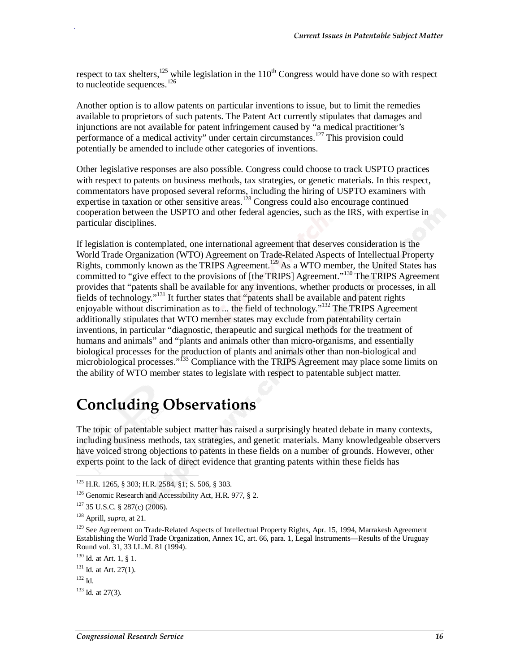respect to tax shelters,<sup>125</sup> while legislation in the  $110^{th}$  Congress would have done so with respect to nucleotide sequences. $126$ 

Another option is to allow patents on particular inventions to issue, but to limit the remedies available to proprietors of such patents. The Patent Act currently stipulates that damages and injunctions are not available for patent infringement caused by "a medical practitioner's performance of a medical activity" under certain circumstances.<sup>127</sup> This provision could potentially be amended to include other categories of inventions.

Other legislative responses are also possible. Congress could choose to track USPTO practices with respect to patents on business methods, tax strategies, or genetic materials. In this respect, commentators have proposed several reforms, including the hiring of USPTO examiners with expertise in taxation or other sensitive areas.<sup>128</sup> Congress could also encourage continued cooperation between the USPTO and other federal agencies, such as the IRS, with expertise in particular disciplines.

If legislation is contemplated, one international agreement that deserves consideration is the World Trade Organization (WTO) Agreement on Trade-Related Aspects of Intellectual Property Rights, commonly known as the TRIPS Agreement.129 As a WTO member, the United States has committed to "give effect to the provisions of [the TRIPS] Agreement."<sup>130</sup> The TRIPS Agreement provides that "patents shall be available for any inventions, whether products or processes, in all fields of technology."131 It further states that "patents shall be available and patent rights enjoyable without discrimination as to ... the field of technology."<sup>132</sup> The TRIPS Agreement additionally stipulates that WTO member states may exclude from patentability certain inventions, in particular "diagnostic, therapeutic and surgical methods for the treatment of humans and animals" and "plants and animals other than micro-organisms, and essentially biological processes for the production of plants and animals other than non-biological and microbiological processes."<sup>133</sup> Compliance with the TRIPS Agreement may place some limits on the ability of WTO member states to legislate with respect to patentable subject matter.

## **Concluding Observations**

The topic of patentable subject matter has raised a surprisingly heated debate in many contexts, including business methods, tax strategies, and genetic materials. Many knowledgeable observers have voiced strong objections to patents in these fields on a number of grounds. However, other experts point to the lack of direct evidence that granting patents within these fields has

-

<sup>125</sup> H.R. 1265, § 303; H.R. 2584, §1; S. 506, § 303.

<sup>&</sup>lt;sup>126</sup> Genomic Research and Accessibility Act, H.R. 977, § 2.

<sup>127 35</sup> U.S.C. § 287(c) (2006).

<sup>128</sup> Aprill, *supra*, at 21.

<sup>&</sup>lt;sup>129</sup> See Agreement on Trade-Related Aspects of Intellectual Property Rights, Apr. 15, 1994, Marrakesh Agreement Establishing the World Trade Organization, Annex 1C, art. 66, para. 1, Legal Instruments—Results of the Uruguay Round vol. 31, 33 I.L.M. 81 (1994).

<sup>130</sup> Id*.* at Art. 1, § 1.

<sup>&</sup>lt;sup>131</sup> Id. at Art. 27(1).

 $132$  Id.

<sup>133</sup> Id*.* at 27(3).